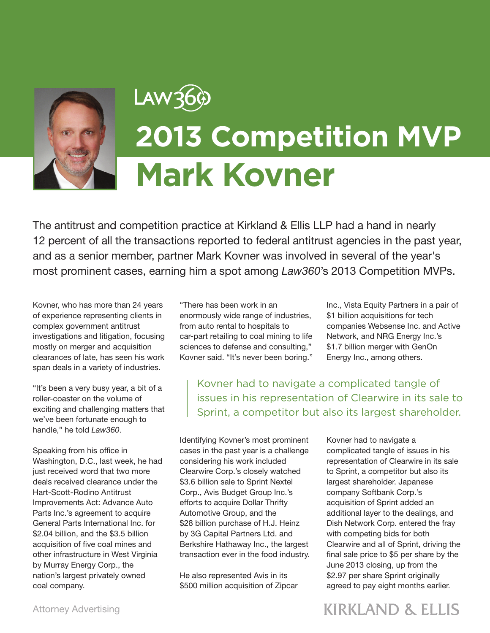

## Law36¢ **2013 Competition MVP Mark Kovner**

The antitrust and competition practice at Kirkland & Ellis LLP had a hand in nearly 12 percent of all the transactions reported to federal antitrust agencies in the past year, and as a senior member, partner Mark Kovner was involved in several of the year's most prominent cases, earning him a spot among *Law360*'s 2013 Competition MVPs.

Kovner, who has more than 24 years of experience representing clients in complex government antitrust investigations and litigation, focusing mostly on merger and acquisition clearances of late, has seen his work span deals in a variety of industries.

"It's been a very busy year, a bit of a roller-coaster on the volume of exciting and challenging matters that we've been fortunate enough to handle," he told *Law360*.

Speaking from his office in Washington, D.C., last week, he had just received word that two more deals received clearance under the Hart-Scott-Rodino Antitrust Improvements Act: Advance Auto Parts Inc.'s agreement to acquire General Parts International Inc. for \$2.04 billion, and the \$3.5 billion acquisition of five coal mines and other infrastructure in West Virginia by Murray Energy Corp., the nation's largest privately owned coal company.

"There has been work in an enormously wide range of industries, from auto rental to hospitals to car-part retailing to coal mining to life sciences to defense and consulting," Kovner said. "It's never been boring."

Inc., Vista Equity Partners in a pair of \$1 billion acquisitions for tech companies Websense Inc. and Active Network, and NRG Energy Inc.'s \$1.7 billion merger with GenOn Energy Inc., among others.

Kovner had to navigate a complicated tangle of issues in his representation of Clearwire in its sale to Sprint, a competitor but also its largest shareholder.

Identifying Kovner's most prominent cases in the past year is a challenge considering his work included Clearwire Corp.'s closely watched \$3.6 billion sale to Sprint Nextel Corp., Avis Budget Group Inc.'s efforts to acquire Dollar Thrifty Automotive Group, and the \$28 billion purchase of H.J. Heinz by 3G Capital Partners Ltd. and Berkshire Hathaway Inc., the largest transaction ever in the food industry.

He also represented Avis in its \$500 million acquisition of Zipcar Kovner had to navigate a complicated tangle of issues in his representation of Clearwire in its sale to Sprint, a competitor but also its largest shareholder. Japanese company Softbank Corp.'s acquisition of Sprint added an additional layer to the dealings, and Dish Network Corp. entered the fray with competing bids for both Clearwire and all of Sprint, driving the final sale price to \$5 per share by the June 2013 closing, up from the \$2.97 per share Sprint originally agreed to pay eight months earlier.

## **KIRKLAND & ELLIS**